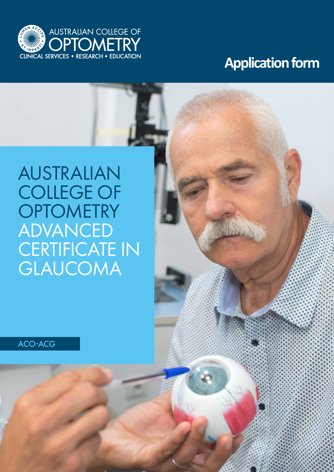

## **Application form**

# AUSTRALIAN COLLEGE OF **OPTOMETRY** ADVANCED CERTIFICATE IN GLAUCOMA